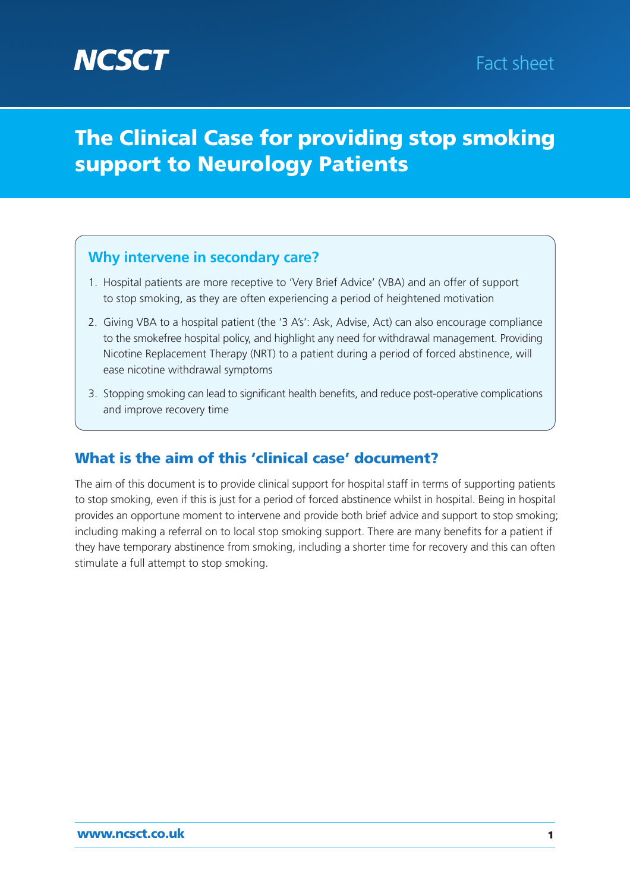# **The Clinical Case for providing stop smoking support to Neurology Patients**

## **Why intervene in secondary care?**

- 1. Hospital patients are more receptive to 'Very Brief Advice' (VBA) and an offer of support to stop smoking, as they are often experiencing a period of heightened motivation
- 2. Giving VBA to a hospital patient (the '3 A's': Ask, Advise, Act) can also encourage compliance to the smokefree hospital policy, and highlight any need for withdrawal management. Providing Nicotine Replacement Therapy (NRT) to a patient during a period of forced abstinence, will ease nicotine withdrawal symptoms
- 3. Stopping smoking can lead to significant health benefits, and reduce post-operative complications and improve recovery time

# **What is the aim of this 'clinical case' document?**

The aim of this document is to provide clinical support for hospital staff in terms of supporting patients to stop smoking, even if this is just for a period of forced abstinence whilst in hospital. Being in hospital provides an opportune moment to intervene and provide both brief advice and support to stop smoking; including making a referral on to local stop smoking support. There are many benefits for a patient if they have temporary abstinence from smoking, including a shorter time for recovery and this can often stimulate a full attempt to stop smoking.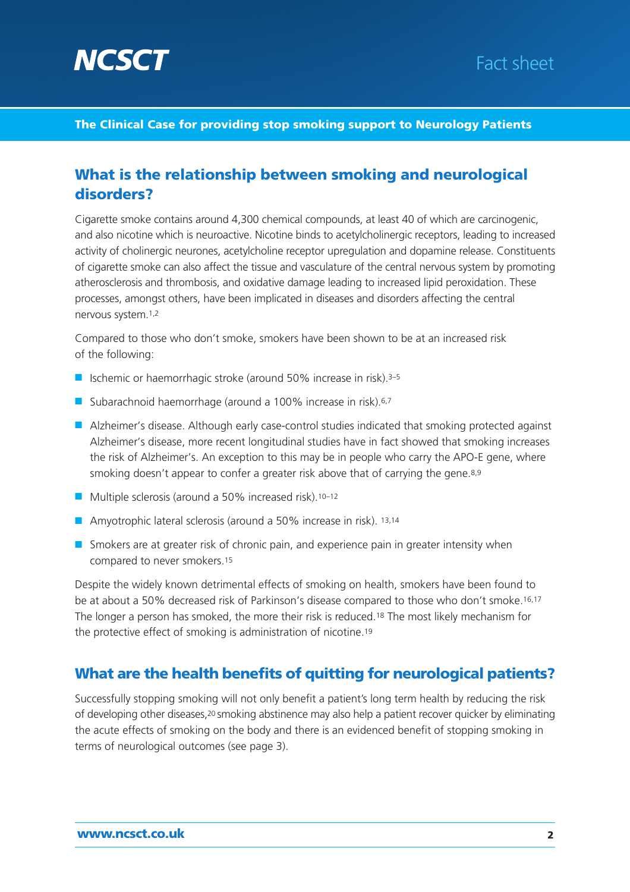



### **The Clinical Case for providing stop smoking support to Neurology Patients**

### **What is the relationship between smoking and neurological disorders?**

Cigarette smoke contains around 4,300 chemical compounds, at least 40 of which are carcinogenic, and also nicotine which is neuroactive. Nicotine binds to acetylcholinergic receptors, leading to increased activity of cholinergic neurones, acetylcholine receptor upregulation and dopamine release. Constituents of cigarette smoke can also affect the tissue and vasculature of the central nervous system by promoting atherosclerosis and thrombosis, and oxidative damage leading to increased lipid peroxidation. These processes, amongst others, have been implicated in diseases and disorders affecting the central nervous system.1,2

Compared to those who don't smoke, smokers have been shown to be at an increased risk of the following:

- Ischemic or haemorrhagic stroke (around 50% increase in risk).<sup>3–5</sup>
- Subarachnoid haemorrhage (around a 100% increase in risk).<sup>6,7</sup>
- Alzheimer's disease. Although early case-control studies indicated that smoking protected against Alzheimer's disease, more recent longitudinal studies have in fact showed that smoking increases the risk of Alzheimer's. An exception to this may be in people who carry the APO-E gene, where smoking doesn't appear to confer a greater risk above that of carrying the gene.<sup>8,9</sup>
- Multiple sclerosis (around a 50% increased risk).<sup>10-12</sup>
- Amyotrophic lateral sclerosis (around a 50% increase in risk). 13,14
- Smokers are at greater risk of chronic pain, and experience pain in greater intensity when compared to never smokers.15

Despite the widely known detrimental effects of smoking on health, smokers have been found to be at about a 50% decreased risk of Parkinson's disease compared to those who don't smoke.16,17 The longer a person has smoked, the more their risk is reduced.18 The most likely mechanism for the protective effect of smoking is administration of nicotine.19

### **What are the health benefits of quitting for neurological patients?**

Successfully stopping smoking will not only benefit a patient's long term health by reducing the risk of developing other diseases,20 smoking abstinence may also help a patient recover quicker by eliminating the acute effects of smoking on the body and there is an evidenced benefit of stopping smoking in terms of neurological outcomes (see page 3).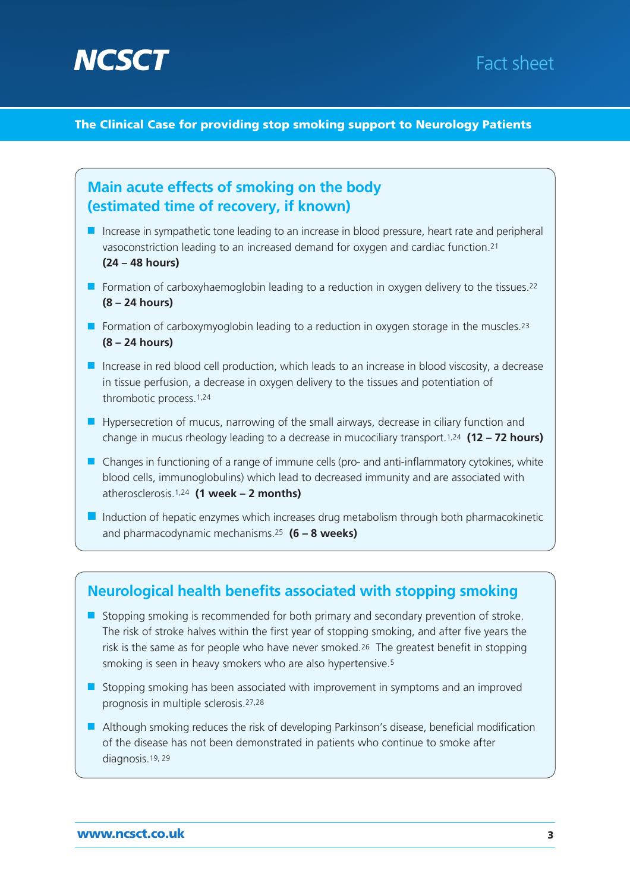

# Fact sheet

**The Clinical Case for providing stop smoking support to Neurology Patients**



- The risk of stroke halves within the first year of stopping smoking, and after five years the risk is the same as for people who have never smoked.26 The greatest benefit in stopping smoking is seen in heavy smokers who are also hypertensive.5
- Stopping smoking has been associated with improvement in symptoms and an improved prognosis in multiple sclerosis.27,28
- Although smoking reduces the risk of developing Parkinson's disease, beneficial modification of the disease has not been demonstrated in patients who continue to smoke after diagnosis.19, 29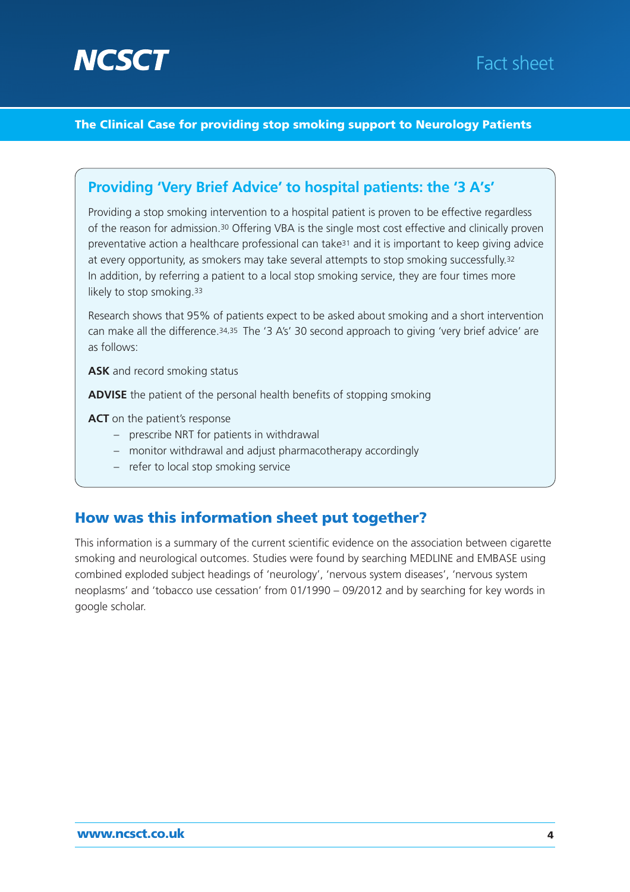

# Fact sheet

### **The Clinical Case for providing stop smoking support to Neurology Patients**

### **Providing 'Very Brief Advice' to hospital patients: the '3 A's'**

Providing a stop smoking intervention to a hospital patient is proven to be effective regardless of the reason for admission.30 Offering VBA is the single most cost effective and clinically proven preventative action a healthcare professional can take31 and it is important to keep giving advice at every opportunity, as smokers may take several attempts to stop smoking successfully.<sup>32</sup> In addition, by referring a patient to a local stop smoking service, they are four times more likely to stop smoking.<sup>33</sup>

Research shows that 95% of patients expect to be asked about smoking and a short intervention can make all the difference.34,35 The '3 A's' 30 second approach to giving 'very brief advice' are as follows:

**ASK** and record smoking status

**ADVISE** the patient of the personal health benefits of stopping smoking

**ACT** on the patient's response

- prescribe NRT for patients in withdrawal
- monitor withdrawal and adjust pharmacotherapy accordingly
- refer to local stop smoking service

## **How was this information sheet put together?**

This information is a summary of the current scientific evidence on the association between cigarette smoking and neurological outcomes. Studies were found by searching MEDLINE and EMBASE using combined exploded subject headings of 'neurology', 'nervous system diseases', 'nervous system neoplasms' and 'tobacco use cessation' from 01/1990 – 09/2012 and by searching for key words in google scholar.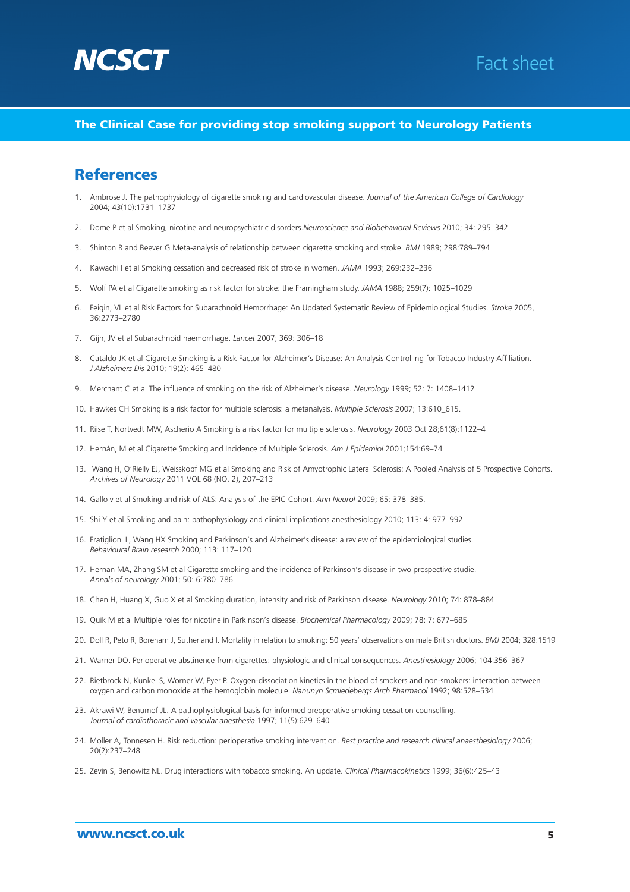



### **The Clinical Case for providing stop smoking support to Neurology Patients**

### **References**

- 1. Ambrose J. The pathophysiology of cigarette smoking and cardiovascular disease. *Journal of the American College of Cardiology* 2004; 43(10):1731–1737
- 2. Dome P et al Smoking, nicotine and neuropsychiatric disorders.*Neuroscience and Biobehavioral Reviews* 2010; 34: 295–342
- 3. Shinton R and Beever G Meta-analysis of relationship between cigarette smoking and stroke. *BMJ* 1989; 298:789–794
- 4. Kawachi I et al Smoking cessation and decreased risk of stroke in women. *JAMA* 1993; 269:232–236
- 5. Wolf PA et al Cigarette smoking as risk factor for stroke: the Framingham study. *JAMA* 1988; 259(7): 1025–1029
- 6. Feigin, VL et al Risk Factors for Subarachnoid Hemorrhage: An Updated Systematic Review of Epidemiological Studies. *Stroke* 2005, 36:2773–2780
- 7. Gijn, JV et al Subarachnoid haemorrhage. *Lancet* 2007; 369: 306–18
- 8. Cataldo JK et al Cigarette Smoking is a Risk Factor for Alzheimer's Disease: An Analysis Controlling for Tobacco Industry Affiliation. *J Alzheimers Dis* 2010; 19(2): 465–480
- 9. Merchant C et al The influence of smoking on the risk of Alzheimer's disease*. Neurology* 1999; 52: 7: 1408–1412
- 10. Hawkes CH Smoking is a risk factor for multiple sclerosis: a metanalysis. *Multiple Sclerosis* 2007; 13:610\_615.
- 11. Riise T, Nortvedt MW, Ascherio A Smoking is a risk factor for multiple sclerosis. *Neurology* 2003 Oct 28;61(8):1122–4
- 12. Hernán, M et al Cigarette Smoking and Incidence of Multiple Sclerosis. *Am J Epidemiol* 2001;154:69–74
- 13. Wang H, O'Rielly EJ, Weisskopf MG et al Smoking and Risk of Amyotrophic Lateral Sclerosis: A Pooled Analysis of 5 Prospective Cohorts. *Archives of Neurology* 2011 VOL 68 (NO. 2), 207–213
- 14. Gallo v et al Smoking and risk of ALS: Analysis of the EPIC Cohort. *Ann Neurol* 2009; 65: 378–385.
- 15. Shi Y et al Smoking and pain: pathophysiology and clinical implications anesthesiology 2010; 113: 4: 977–992
- 16. Fratiglioni L, Wang HX Smoking and Parkinson's and Alzheimer's disease: a review of the epidemiological studies. *Behavioural Brain research* 2000; 113: 117–120
- 17. Hernan MA, Zhang SM et al Cigarette smoking and the incidence of Parkinson's disease in two prospective studie. *Annals of neurology* 2001; 50: 6:780–786
- 18. Chen H, Huang X, Guo X et al Smoking duration, intensity and risk of Parkinson disease. *Neurology* 2010; 74: 878–884
- 19. Quik M et al Multiple roles for nicotine in Parkinson's disease. *Biochemical Pharmacology* 2009; 78: 7: 677–685
- 20. Doll R, Peto R, Boreham J, Sutherland I. Mortality in relation to smoking: 50 years' observations on male British doctors. *BMJ* 2004; 328:1519
- 21. Warner DO. Perioperative abstinence from cigarettes: physiologic and clinical consequences. *Anesthesiology* 2006; 104:356–367
- 22. Rietbrock N, Kunkel S, Worner W, Eyer P. Oxygen-dissociation kinetics in the blood of smokers and non-smokers: interaction between oxygen and carbon monoxide at the hemoglobin molecule. *Nanunyn Scmiedebergs Arch Pharmacol* 1992; 98:528–534
- 23. Akrawi W, Benumof JL. A pathophysiological basis for informed preoperative smoking cessation counselling. *Journal of cardiothoracic and vascular anesthesia* 1997; 11(5):629–640
- 24. Moller A, Tonnesen H. Risk reduction: perioperative smoking intervention. *Best practice and research clinical anaesthesiology* 2006; 20(2):237–248
- 25. Zevin S, Benowitz NL. Drug interactions with tobacco smoking. An update. *Clinical Pharmacokinetics* 1999; 36(6):425–43